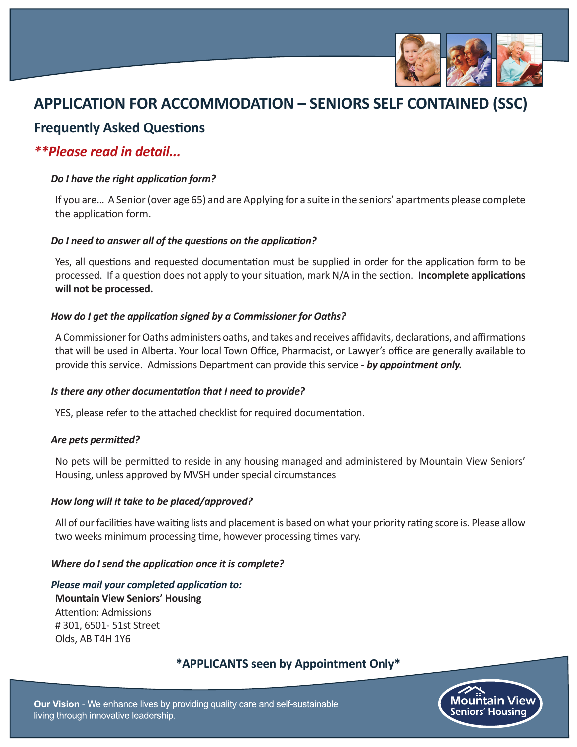

# **APPLICATION FOR ACCOMMODATION – SENIORS SELF CONTAINED (SSC)**

# **Frequently Asked Questions**

### *\*\*Please read in detail...*

#### *Do I have the right application form?*

If you are… A Senior (over age 65) and are Applying for a suite in the seniors' apartments please complete the application form.

#### *Do I need to answer all of the questions on the application?*

Yes, all questions and requested documentation must be supplied in order for the application form to be processed. If a question does not apply to your situation, mark N/A in the section. **Incomplete applications will not be processed.**

#### *How do I get the application signed by a Commissioner for Oaths?*

A Commissioner for Oaths administers oaths, and takes and receives affidavits, declarations, and affirmations that will be used in Alberta. Your local Town Office, Pharmacist, or Lawyer's office are generally available to provide this service. Admissions Department can provide this service - *by appointment only.*

#### *Is there any other documentation that I need to provide?*

YES, please refer to the attached checklist for required documentation.

#### *Are pets permitted?*

No pets will be permitted to reside in any housing managed and administered by Mountain View Seniors' Housing, unless approved by MVSH under special circumstances

#### *How long will it take to be placed/approved?*

All of our facilities have waiting lists and placement is based on what your priority rating score is. Please allow two weeks minimum processing time, however processing times vary.

#### *Where do I send the application once it is complete?*

*Please mail your completed application to:*  **Mountain View Seniors' Housing** Attention: Admissions # 301, 6501- 51st Street Olds, AB T4H 1Y6

### **\*APPLICANTS seen by Appointment Only\***

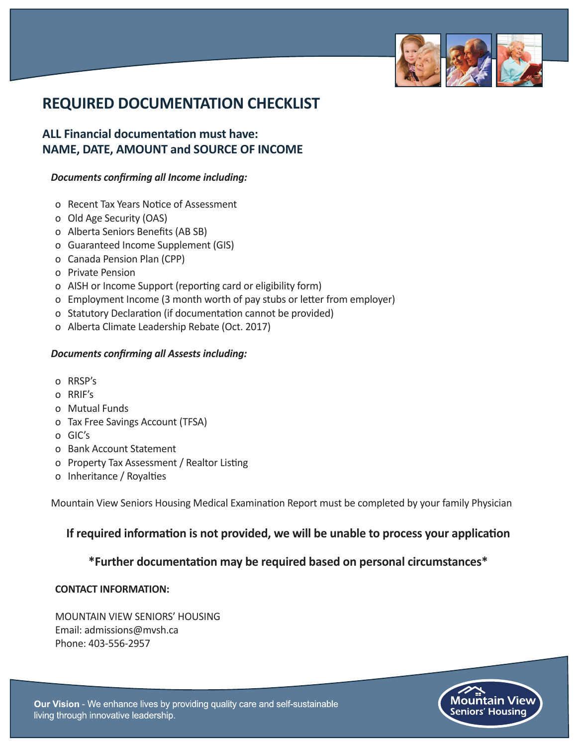

# **REQUIRED DOCUMENTATION CHECKLIST**

### **ALL Financial documentation must have: NAME, DATE, AMOUNT and SOURCE OF INCOME**

#### *Documents confirming all Income including:*

- o Recent Tax Years Notice of Assessment
- o Old Age Security (OAS)
- o Alberta Seniors Benefits (AB SB)
- o Guaranteed Income Supplement (GIS)
- o Canada Pension Plan (CPP)
- o Private Pension
- o AISH or Income Support (reporting card or eligibility form)
- o Employment Income (3 month worth of pay stubs or letter from employer)
- o Statutory Declaration (if documentation cannot be provided)
- o Alberta Climate Leadership Rebate (Oct. 2017)

#### *Documents confirming all Assests including:*

- o RRSP's
- o RRIF's
- o Mutual Funds
- o Tax Free Savings Account (TFSA)
- o GIC's
- o Bank Account Statement
- o Property Tax Assessment / Realtor Listing
- o Inheritance / Royalties

Mountain View Seniors Housing Medical Examination Report must be completed by your family Physician

### **If required information is not provided, we will be unable to process your application**

#### **\*Further documentation may be required based on personal circumstances\***

#### **CONTACT INFORMATION:**

MOUNTAIN VIEW SENIORS' HOUSING Email: admissions@mvsh.ca Phone: 403-556-2957

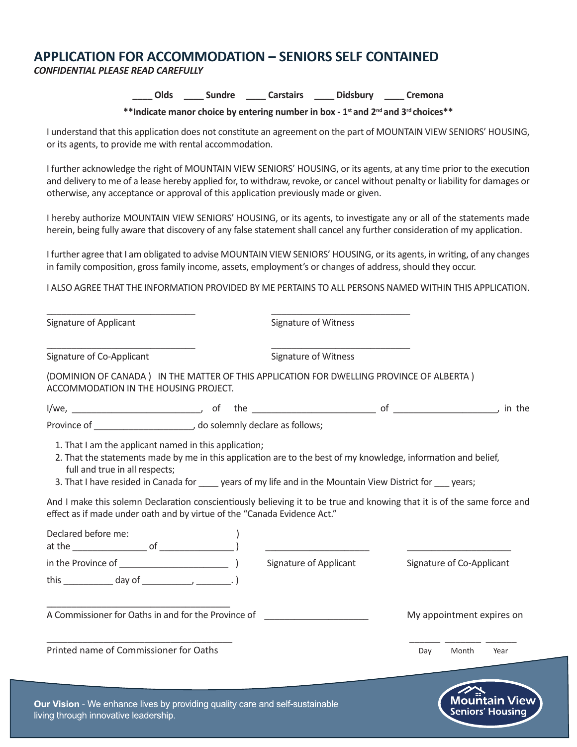### **APPLICATION FOR ACCOMMODATION – SENIORS SELF CONTAINED**

*CONFIDENTIAL PLEASE READ CAREFULLY*

**\_\_\_\_ Olds \_\_\_\_ Sundre \_\_\_\_ Carstairs \_\_\_\_ Didsbury \_\_\_\_ Cremona**

**\*\*Indicate manor choice by entering number in box - 1st and 2nd and 3rd choices\*\***

I understand that this application does not constitute an agreement on the part of MOUNTAIN VIEW SENIORS' HOUSING, or its agents, to provide me with rental accommodation.

I further acknowledge the right of MOUNTAIN VIEW SENIORS' HOUSING, or its agents, at any time prior to the execution and delivery to me of a lease hereby applied for, to withdraw, revoke, or cancel without penalty or liability for damages or otherwise, any acceptance or approval of this application previously made or given.

I hereby authorize MOUNTAIN VIEW SENIORS' HOUSING, or its agents, to investigate any or all of the statements made herein, being fully aware that discovery of any false statement shall cancel any further consideration of my application.

I further agree that I am obligated to advise MOUNTAIN VIEW SENIORS' HOUSING, or its agents, in writing, of any changes in family composition, gross family income, assets, employment's or changes of address, should they occur.

I ALSO AGREE THAT THE INFORMATION PROVIDED BY ME PERTAINS TO ALL PERSONS NAMED WITHIN THIS APPLICATION.

| Signature of Applicant                                                                                                                                 | <b>Signature of Witness</b>                                                                                   |                                                                                                                         |
|--------------------------------------------------------------------------------------------------------------------------------------------------------|---------------------------------------------------------------------------------------------------------------|-------------------------------------------------------------------------------------------------------------------------|
| Signature of Co-Applicant                                                                                                                              | Signature of Witness                                                                                          |                                                                                                                         |
| ACCOMMODATION IN THE HOUSING PROJECT.                                                                                                                  | (DOMINION OF CANADA) IN THE MATTER OF THIS APPLICATION FOR DWELLING PROVINCE OF ALBERTA)                      |                                                                                                                         |
|                                                                                                                                                        |                                                                                                               |                                                                                                                         |
|                                                                                                                                                        |                                                                                                               |                                                                                                                         |
| full and true in all respects;                                                                                                                         | 3. That I have resided in Canada for _____ years of my life and in the Mountain View District for ____ years; | And I make this solemn Declaration conscientiously believing it to be true and knowing that it is of the same force and |
|                                                                                                                                                        |                                                                                                               |                                                                                                                         |
| effect as if made under oath and by virtue of the "Canada Evidence Act."<br>Declared before me:<br>at the $\frac{1}{\sqrt{2}}$ of $\frac{1}{\sqrt{2}}$ |                                                                                                               |                                                                                                                         |
|                                                                                                                                                        | Signature of Applicant                                                                                        | Signature of Co-Applicant                                                                                               |
| A Commissioner for Oaths in and for the Province of                                                                                                    |                                                                                                               | My appointment expires on                                                                                               |

**Seniors' Housing**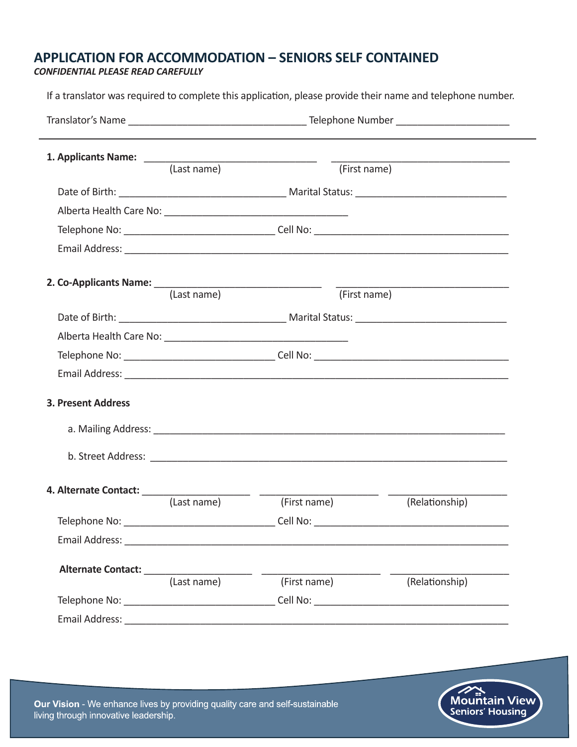## **APPLICATION FOR ACCOMMODATION – SENIORS SELF CONTAINED**

#### *CONFIDENTIAL PLEASE READ CAREFULLY*

L.

If a translator was required to complete this application, please provide their name and telephone number.

|                                                                    | (Last name) | (First name) | <u> 1989 - Johann Barbara, martxa alemaniar amerikan baratzaren 1980an ziren ziren ziren ziren ziren ziren ziren</u> |
|--------------------------------------------------------------------|-------------|--------------|----------------------------------------------------------------------------------------------------------------------|
|                                                                    |             |              |                                                                                                                      |
|                                                                    |             |              |                                                                                                                      |
|                                                                    |             |              |                                                                                                                      |
|                                                                    |             |              |                                                                                                                      |
|                                                                    |             |              |                                                                                                                      |
|                                                                    |             |              |                                                                                                                      |
|                                                                    | (Last name) | (First name) |                                                                                                                      |
|                                                                    |             |              |                                                                                                                      |
|                                                                    |             |              |                                                                                                                      |
|                                                                    |             |              |                                                                                                                      |
|                                                                    |             |              |                                                                                                                      |
| <b>3. Present Address</b>                                          |             |              |                                                                                                                      |
|                                                                    |             |              |                                                                                                                      |
|                                                                    |             |              |                                                                                                                      |
| 4. Alternate Contact: $\frac{1}{\sqrt{1 \cdot 1} \cdot 1 \cdot 1}$ |             |              |                                                                                                                      |
|                                                                    | (Last name) | (First name) | (Relationship)                                                                                                       |
|                                                                    |             |              |                                                                                                                      |
|                                                                    |             |              |                                                                                                                      |
|                                                                    |             |              |                                                                                                                      |
|                                                                    |             | (First name) | (Relationship)                                                                                                       |
|                                                                    |             |              |                                                                                                                      |
|                                                                    |             |              |                                                                                                                      |



Our Vision - We enhance lives by providing quality care and self-sustainable living through innovative leadership.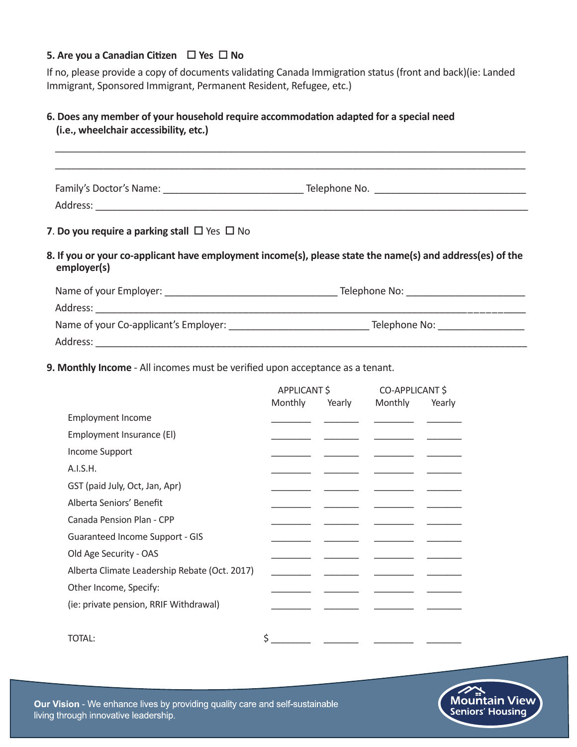#### **5. Are you a Canadian Citizen**  $\Box$  Yes  $\Box$  No

If no, please provide a copy of documents validating Canada Immigration status (front and back)(ie: Landed Immigrant, Sponsored Immigrant, Permanent Resident, Refugee, etc.)

#### **6. Does any member of your household require accommodation adapted for a special need (i.e., wheelchair accessibility, etc.)**

| 7. Do you require a parking stall $\Box$ Yes $\Box$ No |                                                                                                           |
|--------------------------------------------------------|-----------------------------------------------------------------------------------------------------------|
| employer(s)                                            | 8. If you or your co-applicant have employment income(s), please state the name(s) and address(es) of the |
|                                                        |                                                                                                           |
|                                                        |                                                                                                           |
|                                                        |                                                                                                           |
|                                                        |                                                                                                           |

**9. Monthly Income** - All incomes must be verified upon acceptance as a tenant.

|                                               | APPLICANT \$ |        | CO-APPLICANT \$ |        |
|-----------------------------------------------|--------------|--------|-----------------|--------|
|                                               | Monthly      | Yearly | Monthly         | Yearly |
| <b>Employment Income</b>                      |              |        |                 |        |
| Employment Insurance (EI)                     |              |        |                 |        |
| Income Support                                |              |        |                 |        |
| A.I.S.H.                                      |              |        |                 |        |
| GST (paid July, Oct, Jan, Apr)                |              |        |                 |        |
| Alberta Seniors' Benefit                      |              |        |                 |        |
| Canada Pension Plan - CPP                     |              |        |                 |        |
| Guaranteed Income Support - GIS               |              |        |                 |        |
| Old Age Security - OAS                        |              |        |                 |        |
| Alberta Climate Leadership Rebate (Oct. 2017) |              |        |                 |        |
| Other Income, Specify:                        |              |        |                 |        |
| (ie: private pension, RRIF Withdrawal)        |              |        |                 |        |
|                                               |              |        |                 |        |
| TOTAL:                                        |              |        |                 |        |

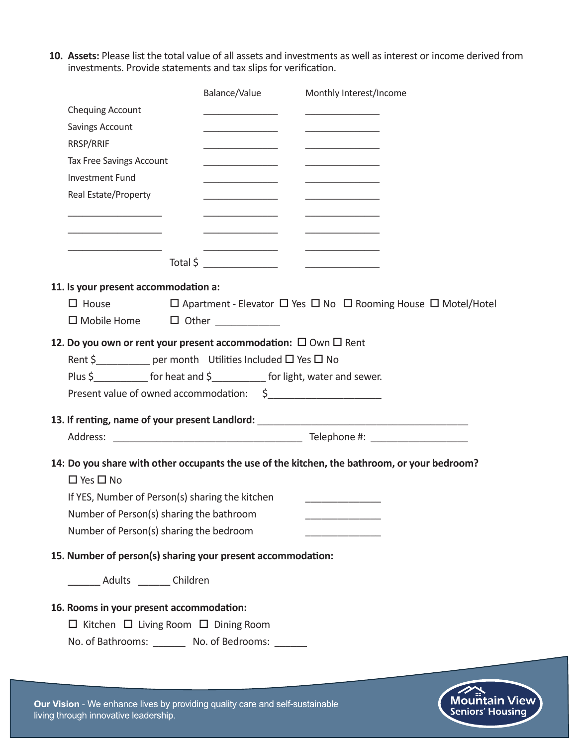**10. Assets:** Please list the total value of all assets and investments as well as interest or income derived from investments. Provide statements and tax slips for verification.

|                                                                           | Balance/Value | Monthly Interest/Income                                                                                 |
|---------------------------------------------------------------------------|---------------|---------------------------------------------------------------------------------------------------------|
| <b>Chequing Account</b>                                                   |               |                                                                                                         |
| Savings Account                                                           |               |                                                                                                         |
| RRSP/RRIF                                                                 |               |                                                                                                         |
| <b>Tax Free Savings Account</b>                                           |               |                                                                                                         |
| <b>Investment Fund</b>                                                    |               |                                                                                                         |
| Real Estate/Property                                                      |               |                                                                                                         |
|                                                                           |               |                                                                                                         |
|                                                                           |               |                                                                                                         |
|                                                                           |               |                                                                                                         |
|                                                                           |               |                                                                                                         |
|                                                                           |               |                                                                                                         |
| 11. Is your present accommodation a:                                      |               |                                                                                                         |
| $\Box$ House                                                              |               | $\square$ Apartment - Elevator $\square$ Yes $\square$ No $\square$ Rooming House $\square$ Motel/Hotel |
| □ Mobile Home □ Other __________                                          |               |                                                                                                         |
| 12. Do you own or rent your present accommodation: $\Box$ Own $\Box$ Rent |               |                                                                                                         |
| Rent \$____________ per month Utilities Included □ Yes □ No               |               |                                                                                                         |
|                                                                           |               |                                                                                                         |
| Present value of owned accommodation: \$                                  |               |                                                                                                         |
|                                                                           |               |                                                                                                         |
|                                                                           |               | 13. If renting, name of your present Landlord: __________________________________                       |
|                                                                           |               |                                                                                                         |
|                                                                           |               | 14: Do you share with other occupants the use of the kitchen, the bathroom, or your bedroom?            |
| $\Box$ Yes $\Box$ No                                                      |               |                                                                                                         |
| If YES, Number of Person(s) sharing the kitchen                           |               |                                                                                                         |
| Number of Person(s) sharing the bathroom                                  |               |                                                                                                         |
| Number of Person(s) sharing the bedroom                                   |               |                                                                                                         |
|                                                                           |               |                                                                                                         |
| 15. Number of person(s) sharing your present accommodation:               |               |                                                                                                         |
| __________ Adults _________ Children                                      |               |                                                                                                         |
|                                                                           |               |                                                                                                         |
| 16. Rooms in your present accommodation:                                  |               |                                                                                                         |
| $\Box$ Kitchen $\Box$ Living Room $\Box$ Dining Room                      |               |                                                                                                         |
| No. of Bathrooms: _________ No. of Bedrooms: _______                      |               |                                                                                                         |
|                                                                           |               |                                                                                                         |
|                                                                           |               |                                                                                                         |



Our Vision - We enhance lives by providing quality care and self-sustainable living through innovative leadership.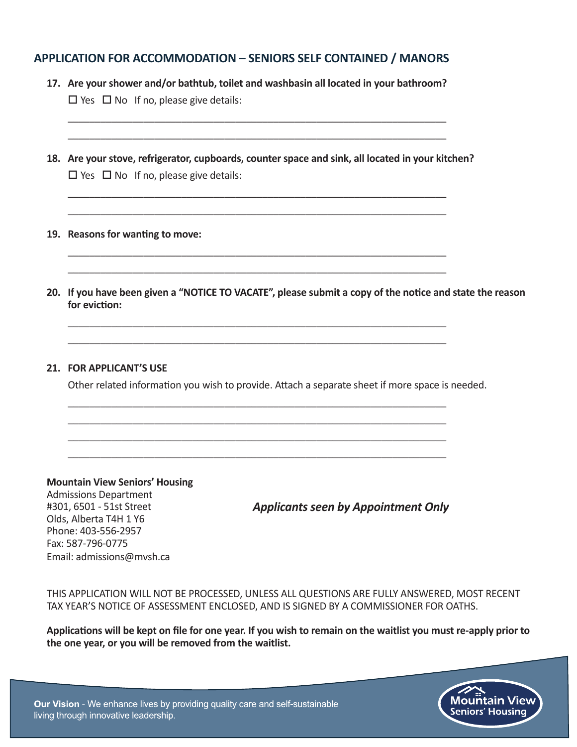### **APPLICATION FOR ACCOMMODATION – SENIORS SELF CONTAINED / MANORS**

- **17. Are your shower and/or bathtub, toilet and washbasin all located in your bathroom?**  $\Box$  Yes  $\Box$  No If no, please give details:
- **18. Are your stove, refrigerator, cupboards, counter space and sink, all located in your kitchen?**  $\Box$  Yes  $\Box$  No If no, please give details:

\_\_\_\_\_\_\_\_\_\_\_\_\_\_\_\_\_\_\_\_\_\_\_\_\_\_\_\_\_\_\_\_\_\_\_\_\_\_\_\_\_\_\_\_\_\_\_\_\_\_\_\_\_\_\_\_\_\_\_\_\_\_\_\_\_\_\_\_\_\_ \_\_\_\_\_\_\_\_\_\_\_\_\_\_\_\_\_\_\_\_\_\_\_\_\_\_\_\_\_\_\_\_\_\_\_\_\_\_\_\_\_\_\_\_\_\_\_\_\_\_\_\_\_\_\_\_\_\_\_\_\_\_\_\_\_\_\_\_\_\_

\_\_\_\_\_\_\_\_\_\_\_\_\_\_\_\_\_\_\_\_\_\_\_\_\_\_\_\_\_\_\_\_\_\_\_\_\_\_\_\_\_\_\_\_\_\_\_\_\_\_\_\_\_\_\_\_\_\_\_\_\_\_\_\_\_\_\_\_\_\_ \_\_\_\_\_\_\_\_\_\_\_\_\_\_\_\_\_\_\_\_\_\_\_\_\_\_\_\_\_\_\_\_\_\_\_\_\_\_\_\_\_\_\_\_\_\_\_\_\_\_\_\_\_\_\_\_\_\_\_\_\_\_\_\_\_\_\_\_\_\_

\_\_\_\_\_\_\_\_\_\_\_\_\_\_\_\_\_\_\_\_\_\_\_\_\_\_\_\_\_\_\_\_\_\_\_\_\_\_\_\_\_\_\_\_\_\_\_\_\_\_\_\_\_\_\_\_\_\_\_\_\_\_\_\_\_\_\_\_\_\_ \_\_\_\_\_\_\_\_\_\_\_\_\_\_\_\_\_\_\_\_\_\_\_\_\_\_\_\_\_\_\_\_\_\_\_\_\_\_\_\_\_\_\_\_\_\_\_\_\_\_\_\_\_\_\_\_\_\_\_\_\_\_\_\_\_\_\_\_\_\_

\_\_\_\_\_\_\_\_\_\_\_\_\_\_\_\_\_\_\_\_\_\_\_\_\_\_\_\_\_\_\_\_\_\_\_\_\_\_\_\_\_\_\_\_\_\_\_\_\_\_\_\_\_\_\_\_\_\_\_\_\_\_\_\_\_\_\_\_\_\_ \_\_\_\_\_\_\_\_\_\_\_\_\_\_\_\_\_\_\_\_\_\_\_\_\_\_\_\_\_\_\_\_\_\_\_\_\_\_\_\_\_\_\_\_\_\_\_\_\_\_\_\_\_\_\_\_\_\_\_\_\_\_\_\_\_\_\_\_\_\_ \_\_\_\_\_\_\_\_\_\_\_\_\_\_\_\_\_\_\_\_\_\_\_\_\_\_\_\_\_\_\_\_\_\_\_\_\_\_\_\_\_\_\_\_\_\_\_\_\_\_\_\_\_\_\_\_\_\_\_\_\_\_\_\_\_\_\_\_\_\_ \_\_\_\_\_\_\_\_\_\_\_\_\_\_\_\_\_\_\_\_\_\_\_\_\_\_\_\_\_\_\_\_\_\_\_\_\_\_\_\_\_\_\_\_\_\_\_\_\_\_\_\_\_\_\_\_\_\_\_\_\_\_\_\_\_\_\_\_\_\_

\_\_\_\_\_\_\_\_\_\_\_\_\_\_\_\_\_\_\_\_\_\_\_\_\_\_\_\_\_\_\_\_\_\_\_\_\_\_\_\_\_\_\_\_\_\_\_\_\_\_\_\_\_\_\_\_\_\_\_\_\_\_\_\_\_\_\_\_\_\_ \_\_\_\_\_\_\_\_\_\_\_\_\_\_\_\_\_\_\_\_\_\_\_\_\_\_\_\_\_\_\_\_\_\_\_\_\_\_\_\_\_\_\_\_\_\_\_\_\_\_\_\_\_\_\_\_\_\_\_\_\_\_\_\_\_\_\_\_\_\_

- **19. Reasons for wanting to move:**
- **20. If you have been given a "NOTICE TO VACATE", please submit a copy of the notice and state the reason for eviction:**

#### **21. FOR APPLICANT'S USE**

Other related information you wish to provide. Attach a separate sheet if more space is needed.

**Mountain View Seniors' Housing**  Admissions Department #301, 6501 - 51st Street Olds, Alberta T4H 1 Y6 Phone: 403-556-2957 Fax: 587-796-0775 Email: admissions@mvsh.ca

*Applicants seen by Appointment Only*

THIS APPLICATION WILL NOT BE PROCESSED, UNLESS ALL QUESTIONS ARE FULLY ANSWERED, MOST RECENT TAX YEAR'S NOTICE OF ASSESSMENT ENCLOSED, AND IS SIGNED BY A COMMISSIONER FOR OATHS.

**Applications will be kept on file for one year. If you wish to remain on the waitlist you must re-apply prior to the one year, or you will be removed from the waitlist.** 

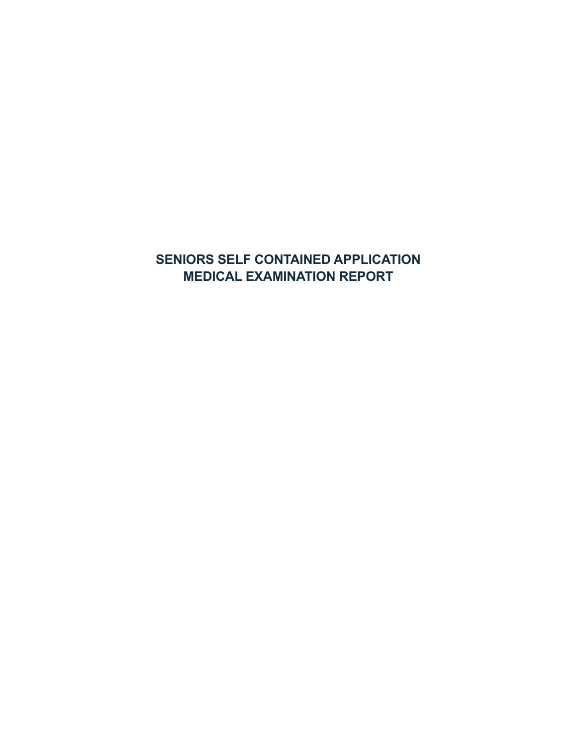# **SENIORS SELF CONTAINED APPLICATION MEDICAL EXAMINATION REPORT**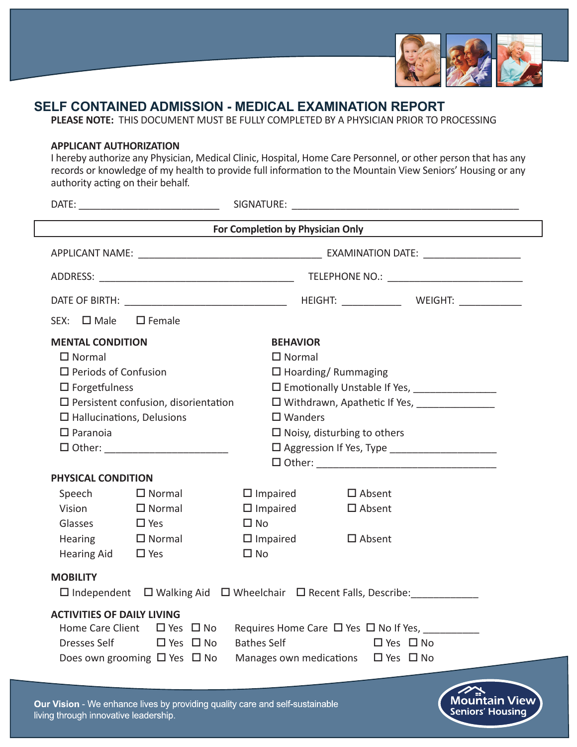

**Seniors' Housing** 

# **SELF CONTAINED ADMISSION - MEDICAL EXAMINATION REPORT**

**PLEASE NOTE:** THIS DOCUMENT MUST BE FULLY COMPLETED BY A PHYSICIAN PRIOR TO PROCESSING

#### **APPLICANT AUTHORIZATION**

I hereby authorize any Physician, Medical Clinic, Hospital, Home Care Personnel, or other person that has any records or knowledge of my health to provide full information to the Mountain View Seniors' Housing or any authority acting on their behalf.

|                                     |                                                                                                    |                                    |                           | For Completion by Physician Only <b>Completion</b> by Physician Only |
|-------------------------------------|----------------------------------------------------------------------------------------------------|------------------------------------|---------------------------|----------------------------------------------------------------------|
|                                     |                                                                                                    |                                    |                           |                                                                      |
|                                     |                                                                                                    |                                    |                           |                                                                      |
|                                     |                                                                                                    |                                    |                           |                                                                      |
| $SEX: \Box$ Male                    | $\square$ Female                                                                                   |                                    |                           |                                                                      |
| <b>MENTAL CONDITION</b>             |                                                                                                    | <b>BEHAVIOR</b>                    |                           |                                                                      |
| $\Box$ Normal                       |                                                                                                    | $\Box$ Normal                      |                           |                                                                      |
| $\square$ Periods of Confusion      |                                                                                                    |                                    | $\Box$ Hoarding/Rummaging |                                                                      |
| $\square$ Forgetfulness             |                                                                                                    |                                    |                           |                                                                      |
|                                     | $\square$ Persistent confusion, disorientation                                                     |                                    |                           | □ Withdrawn, Apathetic If Yes, _______________                       |
| $\square$ Hallucinations, Delusions |                                                                                                    | $\square$ Wanders                  |                           |                                                                      |
| $\Box$ Paranoia                     |                                                                                                    | $\Box$ Noisy, disturbing to others |                           |                                                                      |
|                                     | □ Other: ___________________________                                                               |                                    |                           |                                                                      |
|                                     |                                                                                                    |                                    |                           |                                                                      |
| PHYSICAL CONDITION                  |                                                                                                    |                                    |                           |                                                                      |
| Speech $\Box$ Normal                |                                                                                                    | $\Box$ Impaired                    | $\Box$ Absent             |                                                                      |
| Vision                              | $\square$ Normal                                                                                   | $\Box$ Impaired                    | $\Box$ Absent             |                                                                      |
| Glasses                             | D Yes                                                                                              | $\square$ No                       |                           |                                                                      |
| <b>Hearing</b>                      | $\square$ Normal                                                                                   | $\Box$ Impaired                    | $\square$ Absent          |                                                                      |
| Hearing Aid $\Box$ Yes              |                                                                                                    | $\square$ No                       |                           |                                                                      |
| <b>MOBILITY</b>                     |                                                                                                    |                                    |                           |                                                                      |
|                                     | $\square$ Independent $\square$ Walking Aid $\square$ Wheelchair $\square$ Recent Falls, Describe: |                                    |                           |                                                                      |
| <b>ACTIVITIES OF DAILY LIVING</b>   |                                                                                                    |                                    |                           |                                                                      |
| Home Care Client                    | $\Box$ Yes $\Box$ No                                                                               |                                    |                           |                                                                      |
| Dresses Self                        | $\Box$ Yes $\Box$ No                                                                               | <b>Bathes Self</b>                 |                           | $\Box$ Yes $\Box$ No                                                 |
|                                     | Does own grooming $\Box$ Yes $\Box$ No                                                             | Manages own medications            |                           | $\Box$ Yes $\Box$ No                                                 |